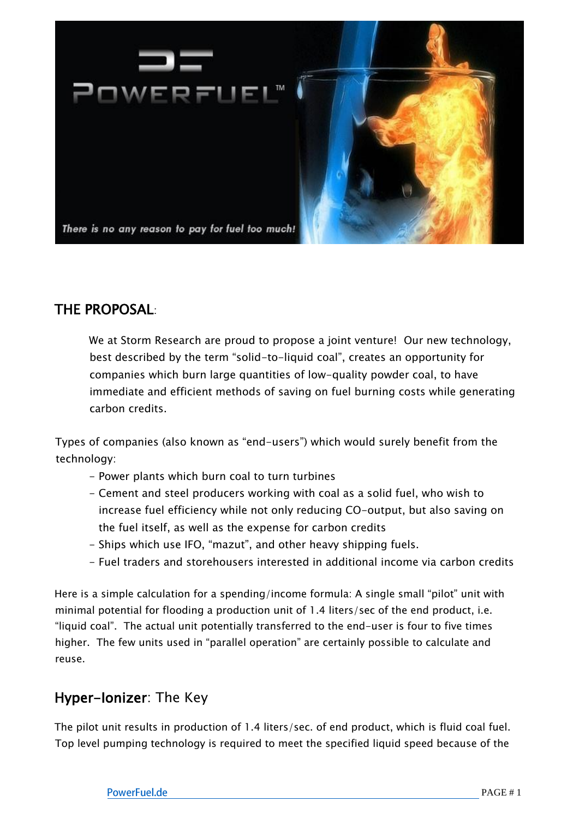

## THE PROPOSAL:

We at Storm Research are proud to propose a joint venture! Our new technology, best described by the term "solid-to-liquid coal", creates an opportunity for companies which burn large quantities of low-quality powder coal, to have immediate and efficient methods of saving on fuel burning costs while generating carbon credits.

Types of companies (also known as "end-users") which would surely benefit from the technology:

- Power plants which burn coal to turn turbines
- Cement and steel producers working with coal as a solid fuel, who wish to increase fuel efficiency while not only reducing CO-output, but also saving on the fuel itself, as well as the expense for carbon credits
- Ships which use IFO, "mazut", and other heavy shipping fuels.
- Fuel traders and storehousers interested in additional income via carbon credits

Here is a simple calculation for a spending/income formula: A single small "pilot" unit with minimal potential for flooding a production unit of 1.4 liters/sec of the end product, i.e. "liquid coal". The actual unit potentially transferred to the end-user is four to five times higher. The few units used in "parallel operation" are certainly possible to calculate and reuse.

## Hyper-Ionizer: The Key

The pilot unit results in production of 1.4 liters/sec. of end product, which is fluid coal fuel. Top level pumping technology is required to meet the specified liquid speed because of the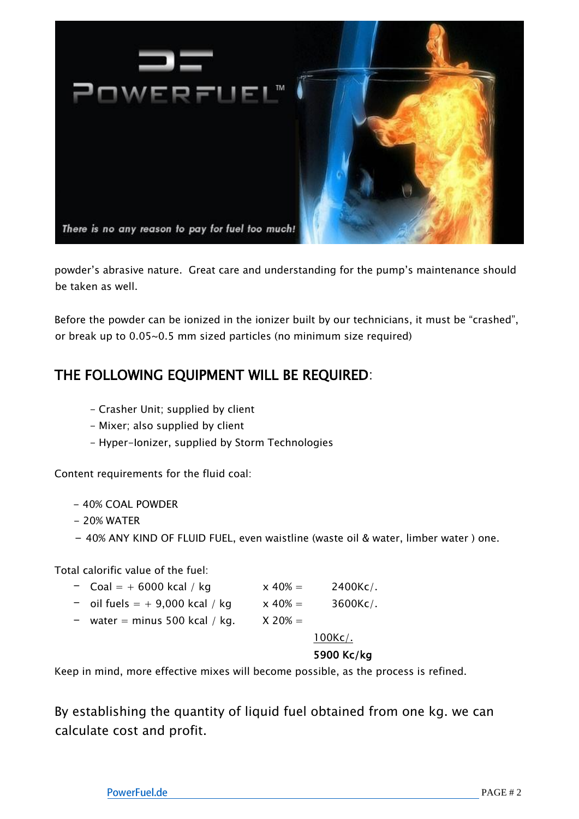

powder's abrasive nature. Great care and understanding for the pump's maintenance should be taken as well.

Before the powder can be ionized in the ionizer built by our technicians, it must be "crashed", or break up to 0.05~0.5 mm sized particles (no minimum size required)

# THE FOLLOWING EQUIPMENT WILL BE REQUIRED:

- Crasher Unit; supplied by client
- Mixer; also supplied by client
- Hyper-Ionizer, supplied by Storm Technologies

Content requirements for the fluid coal:

- − 40% COAL POWDER
- − 20% WATER
- − 40% ANY KIND OF FLUID FUEL, even waistline (waste oil & water, limber water ) one.

Total calorific value of the fuel:

| - Coal = $+$ 6000 kcal / kg                         | $x 40\% =$ | $2400$ Kc/.     |
|-----------------------------------------------------|------------|-----------------|
| - oil fuels $= +9,000$ kcal / kg                    | $x 40\% =$ | $3600$ Kc $/$ . |
| $-$ water points $\mathsf{F}\Omega\Omega$ keal (kg) | V 2004     |                 |

water = minus 500 kcal / kg.  $X$  20% =

100Kc/.

### 5900 Kc/kg

Keep in mind, more effective mixes will become possible, as the process is refined.

By establishing the quantity of liquid fuel obtained from one kg. we can calculate cost and profit.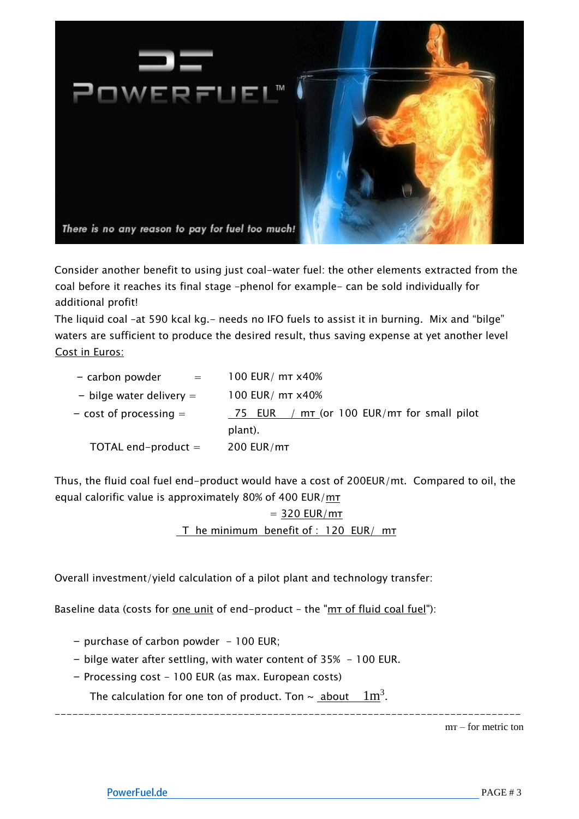

Consider another benefit to using just coal-water fuel: the other elements extracted from the coal before it reaches its final stage –phenol for example- can be sold individually for additional profit!

The liquid coal -at 590 kcal kg. - needs no IFO fuels to assist it in burning. Mix and "bilge" waters are sufficient to produce the desired result, thus saving expense at yet another level Cost in Euros:

| - carbon powder<br>$=$ $-$ | 100 EUR/ mt x40%                                      |
|----------------------------|-------------------------------------------------------|
| - bilge water delivery $=$ | 100 EUR/ mT x40%                                      |
| $-$ cost of processing $=$ | 75 EUR / $m\tau$ (or 100 EUR/m $\tau$ for small pilot |
|                            | plant).                                               |
| TOTAL end-product $=$      | 200 EUR/mT                                            |

Thus, the fluid coal fuel end-product would have a cost of 200EUR/mt. Compared to oil, the equal calorific value is approximately 80% of 400 EUR/mт

> $=$  320 EUR/m $\tau$ T he minimum benefit of : 120 EUR/ mT

Overall investment/yield calculation of a pilot plant and technology transfer:

Baseline data (costs for <u>one unit</u> of end-product - the " $m\tau$  of fluid coal fuel"):

- − purchase of carbon powder 100 EUR;
- − bilge water after settling, with water content of 35% 100 EUR.
- − Processing cost 100 EUR (as max. European costs)

The calculation for one ton of product. Ton ~ <u>about  $1\text{m}^3$ </u>.

------------------------------------------------------------------------------ mт – for metric ton